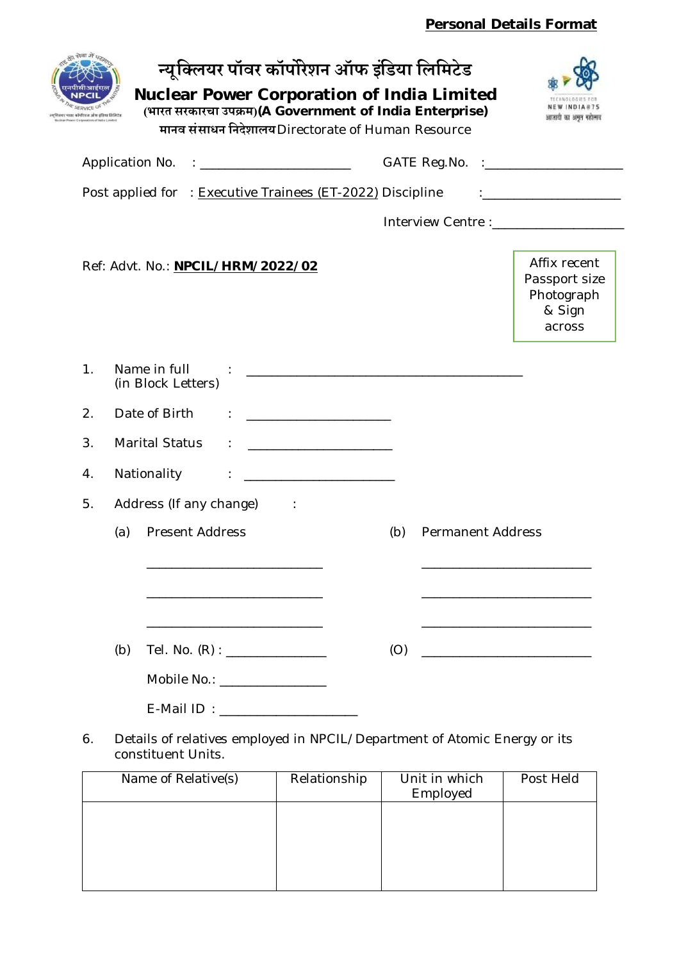## **Personal Details Format**

| कॉमेरिशन ऑफ इंडिया लिमिटेड | न्यूक्लियर पॉवर कॉर्पोरेशन ऑफ इंडिया लिमिटेड<br><b>Nuclear Power Corporation of India Limited</b><br>(भारत सरकारचा उपक्रम)(A Government of India Enterprise)<br>मानव संसाधन निदेशालय Directorate of Human Resource |     |                          | भाजावी का अमृत महोत्म                                                                                                                                                                                                         |
|----------------------------|--------------------------------------------------------------------------------------------------------------------------------------------------------------------------------------------------------------------|-----|--------------------------|-------------------------------------------------------------------------------------------------------------------------------------------------------------------------------------------------------------------------------|
|                            | Application No. : _______________________                                                                                                                                                                          |     |                          |                                                                                                                                                                                                                               |
|                            | Post applied for : Executive Trainees (ET-2022) Discipline                                                                                                                                                         |     |                          |                                                                                                                                                                                                                               |
|                            |                                                                                                                                                                                                                    |     |                          | Interview Centre : [1994] [1994] [1994] [1994] [1994] [1994] [1994] [1994] [1994] [1994] [1994] [1994] [1994] [1994] [1994] [1994] [1994] [1994] [1994] [1994] [1994] [1994] [1994] [1994] [1994] [1994] [1994] [1994] [1994] |
|                            | Ref: Advt. No.: NPCIL/HRM/2022/02                                                                                                                                                                                  |     |                          | Affix recent<br>Passport size<br>Photograph<br>& Sign<br>across                                                                                                                                                               |
| 1.                         | Name in full<br>(in Block Letters)                                                                                                                                                                                 |     |                          |                                                                                                                                                                                                                               |
| 2.                         | Date of Birth                                                                                                                                                                                                      |     |                          |                                                                                                                                                                                                                               |
| 3.                         | <b>Marital Status</b>                                                                                                                                                                                              |     |                          |                                                                                                                                                                                                                               |
| 4.                         | Nationality                                                                                                                                                                                                        |     |                          |                                                                                                                                                                                                                               |
| 5.                         | Address (If any change)<br>$\sim 10^{-11}$                                                                                                                                                                         |     |                          |                                                                                                                                                                                                                               |
|                            | <b>Present Address</b><br>(a)                                                                                                                                                                                      | (b) | <b>Permanent Address</b> |                                                                                                                                                                                                                               |
|                            |                                                                                                                                                                                                                    |     |                          |                                                                                                                                                                                                                               |
|                            |                                                                                                                                                                                                                    |     |                          |                                                                                                                                                                                                                               |
|                            | <u> 1989 - Johann Barbara, martxa alemaniar arg</u>                                                                                                                                                                |     |                          |                                                                                                                                                                                                                               |
|                            | (b)                                                                                                                                                                                                                | (O) |                          |                                                                                                                                                                                                                               |
|                            | Mobile No.: _________________                                                                                                                                                                                      |     |                          |                                                                                                                                                                                                                               |
|                            | E-Mail ID: ______________________                                                                                                                                                                                  |     |                          |                                                                                                                                                                                                                               |
| 6.                         | Details of relatives employed in NPCIL/Department of Atomic Energy or its<br>constituent Units.                                                                                                                    |     |                          |                                                                                                                                                                                                                               |

| Name of Relative(s) | Relationship | Unit in which<br>Employed | Post Held |
|---------------------|--------------|---------------------------|-----------|
|                     |              |                           |           |
|                     |              |                           |           |
|                     |              |                           |           |